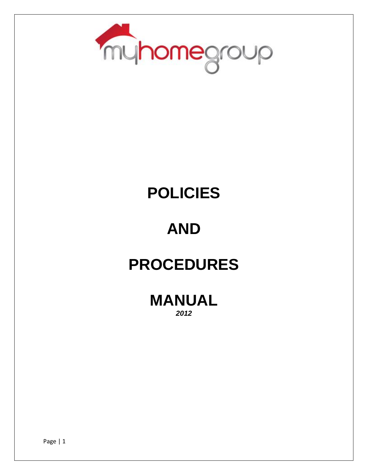

## **POLICIES**

### **AND**

### **PROCEDURES**

**MANUAL** *2012*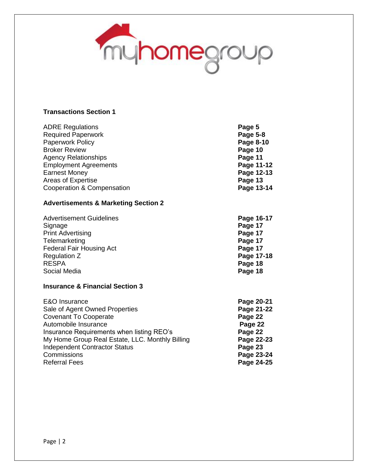

#### **Transactions Section 1**

| <b>ADRE Regulations</b>                         | Page 5     |
|-------------------------------------------------|------------|
| <b>Required Paperwork</b>                       | Page 5-8   |
| <b>Paperwork Policy</b>                         | Page 8-10  |
| <b>Broker Review</b>                            | Page 10    |
| <b>Agency Relationships</b>                     | Page 11    |
| <b>Employment Agreements</b>                    | Page 11-12 |
| <b>Earnest Money</b>                            | Page 12-13 |
| Areas of Expertise                              | Page 13    |
| Cooperation & Compensation                      | Page 13-14 |
| <b>Advertisements &amp; Marketing Section 2</b> |            |
| <b>Advertisement Guidelines</b>                 | Page 16-17 |
| Signage                                         | Page 17    |
| <b>Print Advertising</b>                        | Page 17    |
| Telemarketing                                   | Page 17    |
| <b>Federal Fair Housing Act</b>                 | Page 17    |
| <b>Regulation Z</b>                             | Page 17-18 |
| <b>RESPA</b>                                    | Page 18    |
| Social Media                                    | Page 18    |
| <b>Insurance &amp; Financial Section 3</b>      |            |
| E&O Insurance                                   | Page 20-21 |
| Sale of Agent Owned Properties                  | Page 21-22 |
| <b>Covenant To Cooperate</b>                    | Page 22    |
| Automobile Insurance                            | Page 22    |
| Insurance Requirements when listing REO's       | Page 22    |
| My Home Group Real Estate, LLC. Monthly Billing | Page 22-23 |
| <b>Independent Contractor Status</b>            | Page 23    |
| Commissions                                     | Page 23-24 |
| <b>Referral Fees</b>                            | Page 24-25 |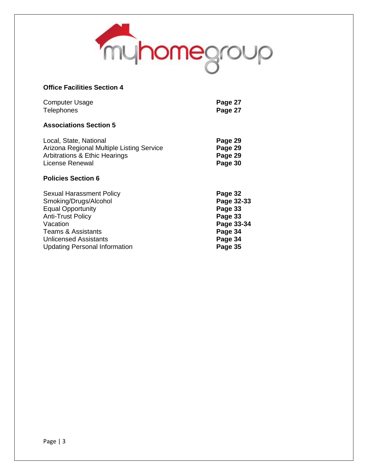

#### **Office Facilities Section 4**

| <b>Computer Usage</b> | Page 27 |
|-----------------------|---------|
| <b>Telephones</b>     | Page 27 |

#### **Associations Section 5**

| Local, State, National                    | Page 29 |
|-------------------------------------------|---------|
| Arizona Regional Multiple Listing Service | Page 29 |
| Arbitrations & Ethic Hearings             | Page 29 |
| License Renewal                           | Page 30 |

#### **Policies Section 6**

| <b>Sexual Harassment Policy</b>      | Page 32    |
|--------------------------------------|------------|
| Smoking/Drugs/Alcohol                | Page 32-33 |
| <b>Equal Opportunity</b>             | Page 33    |
| <b>Anti-Trust Policy</b>             | Page 33    |
| Vacation                             | Page 33-34 |
| <b>Teams &amp; Assistants</b>        | Page 34    |
| <b>Unlicensed Assistants</b>         | Page 34    |
| <b>Updating Personal Information</b> | Page 35    |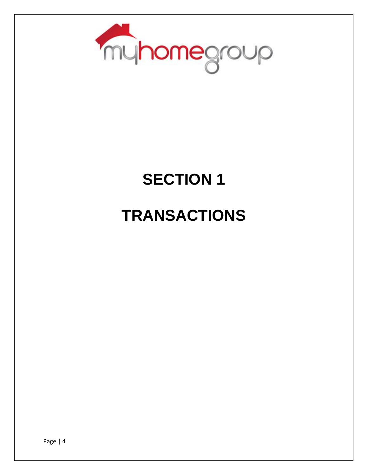

### **SECTION 1**

### **TRANSACTIONS**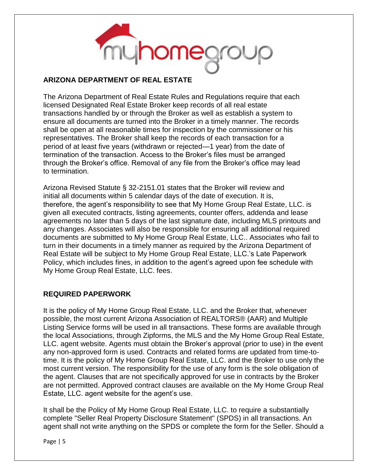

#### **ARIZONA DEPARTMENT OF REAL ESTATE**

The Arizona Department of Real Estate Rules and Regulations require that each licensed Designated Real Estate Broker keep records of all real estate transactions handled by or through the Broker as well as establish a system to ensure all documents are turned into the Broker in a timely manner. The records shall be open at all reasonable times for inspection by the commissioner or his representatives. The Broker shall keep the records of each transaction for a period of at least five years (withdrawn or rejected—1 year) from the date of termination of the transaction. Access to the Broker's files must be arranged through the Broker's office. Removal of any file from the Broker's office may lead to termination.

Arizona Revised Statute § 32-2151.01 states that the Broker will review and initial all documents within 5 calendar days of the date of execution. It is, therefore, the agent's responsibility to see that My Home Group Real Estate, LLC. is given all executed contracts, listing agreements, counter offers, addenda and lease agreements no later than 5 days of the last signature date, including MLS printouts and any changes. Associates will also be responsible for ensuring all additional required documents are submitted to My Home Group Real Estate, LLC.. Associates who fail to turn in their documents in a timely manner as required by the Arizona Department of Real Estate will be subject to My Home Group Real Estate, LLC.'s Late Paperwork Policy, which includes fines, in addition to the agent's agreed upon fee schedule with My Home Group Real Estate, LLC. fees.

#### **REQUIRED PAPERWORK**

It is the policy of My Home Group Real Estate, LLC. and the Broker that, whenever possible, the most current Arizona Association of REALTORS® (AAR) and Multiple Listing Service forms will be used in all transactions. These forms are available through the local Associations, through Zipforms, the MLS and the My Home Group Real Estate, LLC. agent website. Agents must obtain the Broker's approval (prior to use) in the event any non-approved form is used. Contracts and related forms are updated from time-totime. It is the policy of My Home Group Real Estate, LLC. and the Broker to use only the most current version. The responsibility for the use of any form is the sole obligation of the agent. Clauses that are not specifically approved for use in contracts by the Broker are not permitted. Approved contract clauses are available on the My Home Group Real Estate, LLC. agent website for the agent's use.

It shall be the Policy of My Home Group Real Estate, LLC. to require a substantially complete "Seller Real Property Disclosure Statement" (SPDS) in all transactions. An agent shall not write anything on the SPDS or complete the form for the Seller. Should a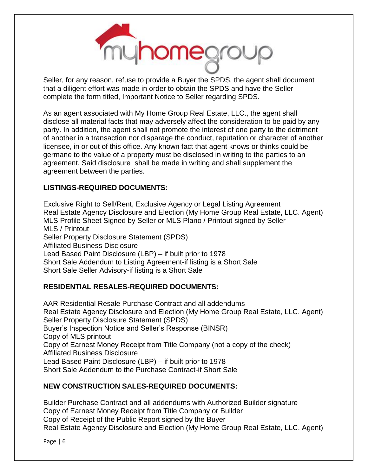

Seller, for any reason, refuse to provide a Buyer the SPDS, the agent shall document that a diligent effort was made in order to obtain the SPDS and have the Seller complete the form titled, Important Notice to Seller regarding SPDS.

As an agent associated with My Home Group Real Estate, LLC., the agent shall disclose all material facts that may adversely affect the consideration to be paid by any party. In addition, the agent shall not promote the interest of one party to the detriment of another in a transaction nor disparage the conduct, reputation or character of another licensee, in or out of this office. Any known fact that agent knows or thinks could be germane to the value of a property must be disclosed in writing to the parties to an agreement. Said disclosure shall be made in writing and shall supplement the agreement between the parties.

#### **LISTINGS-REQUIRED DOCUMENTS:**

Exclusive Right to Sell/Rent, Exclusive Agency or Legal Listing Agreement Real Estate Agency Disclosure and Election (My Home Group Real Estate, LLC. Agent) MLS Profile Sheet Signed by Seller or MLS Plano / Printout signed by Seller MLS / Printout Seller Property Disclosure Statement (SPDS) Affiliated Business Disclosure Lead Based Paint Disclosure (LBP) – if built prior to 1978 Short Sale Addendum to Listing Agreement-if listing is a Short Sale Short Sale Seller Advisory-if listing is a Short Sale

#### **RESIDENTIAL RESALES-REQUIRED DOCUMENTS:**

AAR Residential Resale Purchase Contract and all addendums Real Estate Agency Disclosure and Election (My Home Group Real Estate, LLC. Agent) Seller Property Disclosure Statement (SPDS) Buyer's Inspection Notice and Seller's Response (BINSR) Copy of MLS printout Copy of Earnest Money Receipt from Title Company (not a copy of the check) Affiliated Business Disclosure Lead Based Paint Disclosure (LBP) – if built prior to 1978 Short Sale Addendum to the Purchase Contract-if Short Sale

#### **NEW CONSTRUCTION SALES-REQUIRED DOCUMENTS:**

Builder Purchase Contract and all addendums with Authorized Builder signature Copy of Earnest Money Receipt from Title Company or Builder Copy of Receipt of the Public Report signed by the Buyer Real Estate Agency Disclosure and Election (My Home Group Real Estate, LLC. Agent)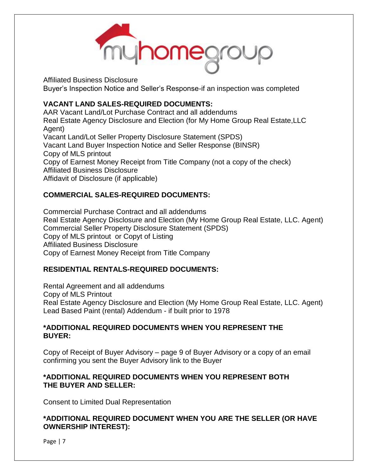

Affiliated Business Disclosure Buyer's Inspection Notice and Seller's Response-if an inspection was completed

#### **VACANT LAND SALES-REQUIRED DOCUMENTS:**

AAR Vacant Land/Lot Purchase Contract and all addendums Real Estate Agency Disclosure and Election (for My Home Group Real Estate,LLC Agent) Vacant Land/Lot Seller Property Disclosure Statement (SPDS) Vacant Land Buyer Inspection Notice and Seller Response (BINSR) Copy of MLS printout Copy of Earnest Money Receipt from Title Company (not a copy of the check) Affiliated Business Disclosure Affidavit of Disclosure (if applicable)

#### **COMMERCIAL SALES-REQUIRED DOCUMENTS:**

Commercial Purchase Contract and all addendums Real Estate Agency Disclosure and Election (My Home Group Real Estate, LLC. Agent) Commercial Seller Property Disclosure Statement (SPDS) Copy of MLS printout or Copyt of Listing Affiliated Business Disclosure Copy of Earnest Money Receipt from Title Company

#### **RESIDENTIAL RENTALS-REQUIRED DOCUMENTS:**

Rental Agreement and all addendums Copy of MLS Printout Real Estate Agency Disclosure and Election (My Home Group Real Estate, LLC. Agent) Lead Based Paint (rental) Addendum - if built prior to 1978

#### **\*ADDITIONAL REQUIRED DOCUMENTS WHEN YOU REPRESENT THE BUYER:**

Copy of Receipt of Buyer Advisory – page 9 of Buyer Advisory or a copy of an email confirming you sent the Buyer Advisory link to the Buyer

#### **\*ADDITIONAL REQUIRED DOCUMENTS WHEN YOU REPRESENT BOTH THE BUYER AND SELLER:**

Consent to Limited Dual Representation

#### **\*ADDITIONAL REQUIRED DOCUMENT WHEN YOU ARE THE SELLER (OR HAVE OWNERSHIP INTEREST):**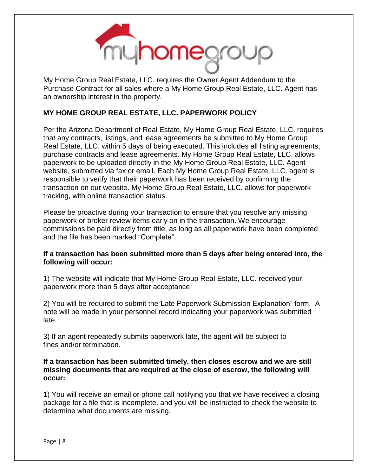

My Home Group Real Estate, LLC. requires the Owner Agent Addendum to the Purchase Contract for all sales where a My Home Group Real Estate, LLC. Agent has an ownership interest in the property.

#### **MY HOME GROUP REAL ESTATE, LLC. PAPERWORK POLICY**

Per the Arizona Department of Real Estate, My Home Group Real Estate, LLC. requires that any contracts, listings, and lease agreements be submitted to My Home Group Real Estate, LLC. within 5 days of being executed. This includes all listing agreements, purchase contracts and lease agreements. My Home Group Real Estate, LLC. allows paperwork to be uploaded directly in the My Home Group Real Estate, LLC. Agent website, submitted via fax or email. Each My Home Group Real Estate, LLC. agent is responsible to verify that their paperwork has been received by confirming the transaction on our website. My Home Group Real Estate, LLC. allows for paperwork tracking, with online transaction status.

Please be proactive during your transaction to ensure that you resolve any missing paperwork or broker review items early on in the transaction. We encourage commissions be paid directly from title, as long as all paperwork have been completed and the file has been marked "Complete".

#### **If a transaction has been submitted more than 5 days after being entered into, the following will occur:**

1) The website will indicate that My Home Group Real Estate, LLC. received your paperwork more than 5 days after acceptance

2) You will be required to submit the"Late Paperwork Submission Explanation" form. A note will be made in your personnel record indicating your paperwork was submitted late.

3) If an agent repeatedly submits paperwork late, the agent will be subject to fines and/or termination.

#### **If a transaction has been submitted timely, then closes escrow and we are still missing documents that are required at the close of escrow, the following will occur:**

1) You will receive an email or phone call notifying you that we have received a closing package for a file that is incomplete, and you will be instructed to check the website to determine what documents are missing.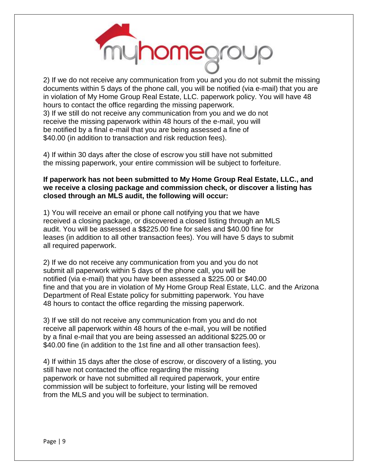

2) If we do not receive any communication from you and you do not submit the missing documents within 5 days of the phone call, you will be notified (via e-mail) that you are in violation of My Home Group Real Estate, LLC. paperwork policy. You will have 48 hours to contact the office regarding the missing paperwork. 3) If we still do not receive any communication from you and we do not receive the missing paperwork within 48 hours of the e-mail, you will be notified by a final e-mail that you are being assessed a fine of \$40.00 (in addition to transaction and risk reduction fees).

4) If within 30 days after the close of escrow you still have not submitted the missing paperwork, your entire commission will be subject to forfeiture.

#### **If paperwork has not been submitted to My Home Group Real Estate, LLC., and we receive a closing package and commission check, or discover a listing has closed through an MLS audit, the following will occur:**

1) You will receive an email or phone call notifying you that we have received a closing package, or discovered a closed listing through an MLS audit. You will be assessed a \$\$225.00 fine for sales and \$40.00 fine for leases (in addition to all other transaction fees). You will have 5 days to submit all required paperwork.

2) If we do not receive any communication from you and you do not submit all paperwork within 5 days of the phone call, you will be notified (via e-mail) that you have been assessed a \$225.00 or \$40.00 fine and that you are in violation of My Home Group Real Estate, LLC. and the Arizona Department of Real Estate policy for submitting paperwork. You have 48 hours to contact the office regarding the missing paperwork.

3) If we still do not receive any communication from you and do not receive all paperwork within 48 hours of the e-mail, you will be notified by a final e-mail that you are being assessed an additional \$225.00 or \$40.00 fine (in addition to the 1st fine and all other transaction fees).

4) If within 15 days after the close of escrow, or discovery of a listing, you still have not contacted the office regarding the missing paperwork or have not submitted all required paperwork, your entire commission will be subject to forfeiture, your listing will be removed from the MLS and you will be subject to termination.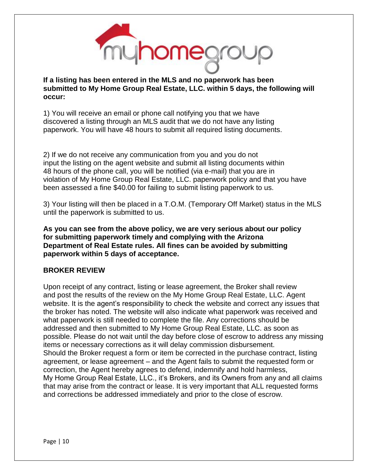

**If a listing has been entered in the MLS and no paperwork has been submitted to My Home Group Real Estate, LLC. within 5 days, the following will occur:**

1) You will receive an email or phone call notifying you that we have discovered a listing through an MLS audit that we do not have any listing paperwork. You will have 48 hours to submit all required listing documents.

2) If we do not receive any communication from you and you do not input the listing on the agent website and submit all listing documents within 48 hours of the phone call, you will be notified (via e-mail) that you are in violation of My Home Group Real Estate, LLC. paperwork policy and that you have been assessed a fine \$40.00 for failing to submit listing paperwork to us.

3) Your listing will then be placed in a T.O.M. (Temporary Off Market) status in the MLS until the paperwork is submitted to us.

**As you can see from the above policy, we are very serious about our policy for submitting paperwork timely and complying with the Arizona Department of Real Estate rules. All fines can be avoided by submitting paperwork within 5 days of acceptance.**

#### **BROKER REVIEW**

Upon receipt of any contract, listing or lease agreement, the Broker shall review and post the results of the review on the My Home Group Real Estate, LLC. Agent website. It is the agent's responsibility to check the website and correct any issues that the broker has noted. The website will also indicate what paperwork was received and what paperwork is still needed to complete the file. Any corrections should be addressed and then submitted to My Home Group Real Estate, LLC. as soon as possible. Please do not wait until the day before close of escrow to address any missing items or necessary corrections as it will delay commission disbursement. Should the Broker request a form or item be corrected in the purchase contract, listing agreement, or lease agreement – and the Agent fails to submit the requested form or correction, the Agent hereby agrees to defend, indemnify and hold harmless, My Home Group Real Estate, LLC., it's Brokers, and its Owners from any and all claims that may arise from the contract or lease. It is very important that ALL requested forms and corrections be addressed immediately and prior to the close of escrow.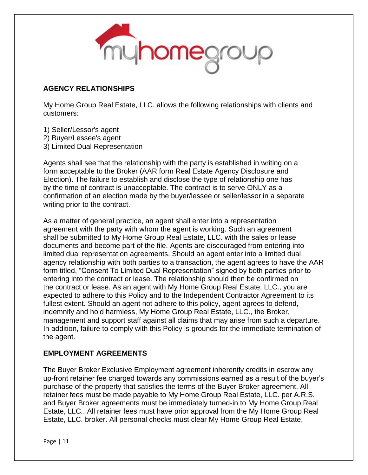

#### **AGENCY RELATIONSHIPS**

My Home Group Real Estate, LLC. allows the following relationships with clients and customers:

- 1) Seller/Lessor's agent
- 2) Buyer/Lessee's agent
- 3) Limited Dual Representation

Agents shall see that the relationship with the party is established in writing on a form acceptable to the Broker (AAR form Real Estate Agency Disclosure and Election). The failure to establish and disclose the type of relationship one has by the time of contract is unacceptable. The contract is to serve ONLY as a confirmation of an election made by the buyer/lessee or seller/lessor in a separate writing prior to the contract.

As a matter of general practice, an agent shall enter into a representation agreement with the party with whom the agent is working. Such an agreement shall be submitted to My Home Group Real Estate, LLC. with the sales or lease documents and become part of the file. Agents are discouraged from entering into limited dual representation agreements. Should an agent enter into a limited dual agency relationship with both parties to a transaction, the agent agrees to have the AAR form titled, "Consent To Limited Dual Representation" signed by both parties prior to entering into the contract or lease. The relationship should then be confirmed on the contract or lease. As an agent with My Home Group Real Estate, LLC., you are expected to adhere to this Policy and to the Independent Contractor Agreement to its fullest extent. Should an agent not adhere to this policy, agent agrees to defend, indemnify and hold harmless, My Home Group Real Estate, LLC., the Broker, management and support staff against all claims that may arise from such a departure. In addition, failure to comply with this Policy is grounds for the immediate termination of the agent.

#### **EMPLOYMENT AGREEMENTS**

The Buyer Broker Exclusive Employment agreement inherently credits in escrow any up-front retainer fee charged towards any commissions earned as a result of the buyer's purchase of the property that satisfies the terms of the Buyer Broker agreement. All retainer fees must be made payable to My Home Group Real Estate, LLC. per A.R.S. and Buyer Broker agreements must be immediately turned-in to My Home Group Real Estate, LLC.. All retainer fees must have prior approval from the My Home Group Real Estate, LLC. broker. All personal checks must clear My Home Group Real Estate,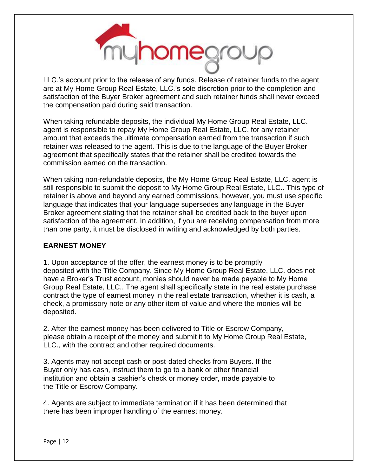

LLC.'s account prior to the release of any funds. Release of retainer funds to the agent are at My Home Group Real Estate, LLC.'s sole discretion prior to the completion and satisfaction of the Buyer Broker agreement and such retainer funds shall never exceed the compensation paid during said transaction.

When taking refundable deposits, the individual My Home Group Real Estate, LLC. agent is responsible to repay My Home Group Real Estate, LLC. for any retainer amount that exceeds the ultimate compensation earned from the transaction if such retainer was released to the agent. This is due to the language of the Buyer Broker agreement that specifically states that the retainer shall be credited towards the commission earned on the transaction.

When taking non-refundable deposits, the My Home Group Real Estate, LLC. agent is still responsible to submit the deposit to My Home Group Real Estate, LLC.. This type of retainer is above and beyond any earned commissions, however, you must use specific language that indicates that your language supersedes any language in the Buyer Broker agreement stating that the retainer shall be credited back to the buyer upon satisfaction of the agreement. In addition, if you are receiving compensation from more than one party, it must be disclosed in writing and acknowledged by both parties.

#### **EARNEST MONEY**

1. Upon acceptance of the offer, the earnest money is to be promptly deposited with the Title Company. Since My Home Group Real Estate, LLC. does not have a Broker's Trust account, monies should never be made payable to My Home Group Real Estate, LLC.. The agent shall specifically state in the real estate purchase contract the type of earnest money in the real estate transaction, whether it is cash, a check, a promissory note or any other item of value and where the monies will be deposited.

2. After the earnest money has been delivered to Title or Escrow Company, please obtain a receipt of the money and submit it to My Home Group Real Estate, LLC., with the contract and other required documents.

3. Agents may not accept cash or post-dated checks from Buyers. If the Buyer only has cash, instruct them to go to a bank or other financial institution and obtain a cashier's check or money order, made payable to the Title or Escrow Company.

4. Agents are subject to immediate termination if it has been determined that there has been improper handling of the earnest money.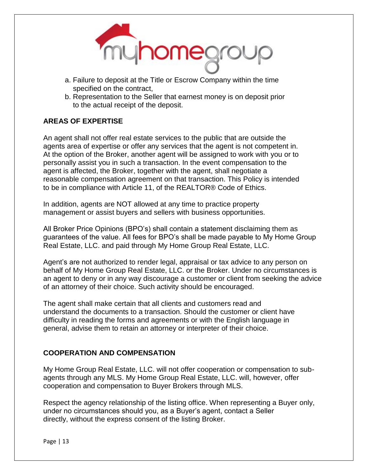

- a. Failure to deposit at the Title or Escrow Company within the time specified on the contract,
- b. Representation to the Seller that earnest money is on deposit prior to the actual receipt of the deposit.

#### **AREAS OF EXPERTISE**

An agent shall not offer real estate services to the public that are outside the agents area of expertise or offer any services that the agent is not competent in. At the option of the Broker, another agent will be assigned to work with you or to personally assist you in such a transaction. In the event compensation to the agent is affected, the Broker, together with the agent, shall negotiate a reasonable compensation agreement on that transaction. This Policy is intended to be in compliance with Article 11, of the REALTOR® Code of Ethics.

In addition, agents are NOT allowed at any time to practice property management or assist buyers and sellers with business opportunities.

All Broker Price Opinions (BPO's) shall contain a statement disclaiming them as guarantees of the value. All fees for BPO's shall be made payable to My Home Group Real Estate, LLC. and paid through My Home Group Real Estate, LLC.

Agent's are not authorized to render legal, appraisal or tax advice to any person on behalf of My Home Group Real Estate, LLC. or the Broker. Under no circumstances is an agent to deny or in any way discourage a customer or client from seeking the advice of an attorney of their choice. Such activity should be encouraged.

The agent shall make certain that all clients and customers read and understand the documents to a transaction. Should the customer or client have difficulty in reading the forms and agreements or with the English language in general, advise them to retain an attorney or interpreter of their choice.

#### **COOPERATION AND COMPENSATION**

My Home Group Real Estate, LLC. will not offer cooperation or compensation to subagents through any MLS. My Home Group Real Estate, LLC. will, however, offer cooperation and compensation to Buyer Brokers through MLS.

Respect the agency relationship of the listing office. When representing a Buyer only, under no circumstances should you, as a Buyer's agent, contact a Seller directly, without the express consent of the listing Broker.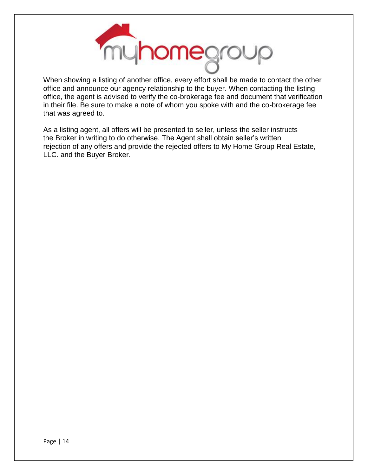

When showing a listing of another office, every effort shall be made to contact the other office and announce our agency relationship to the buyer. When contacting the listing office, the agent is advised to verify the co-brokerage fee and document that verification in their file. Be sure to make a note of whom you spoke with and the co-brokerage fee that was agreed to.

As a listing agent, all offers will be presented to seller, unless the seller instructs the Broker in writing to do otherwise. The Agent shall obtain seller's written rejection of any offers and provide the rejected offers to My Home Group Real Estate, LLC. and the Buyer Broker.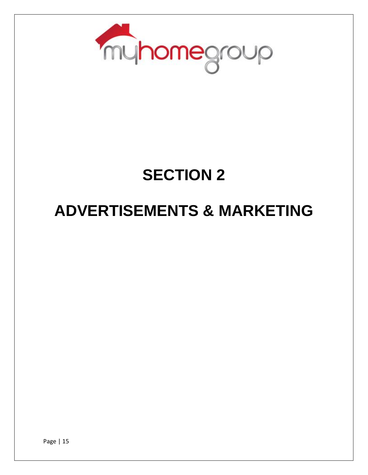

### **SECTION 2**

### **ADVERTISEMENTS & MARKETING**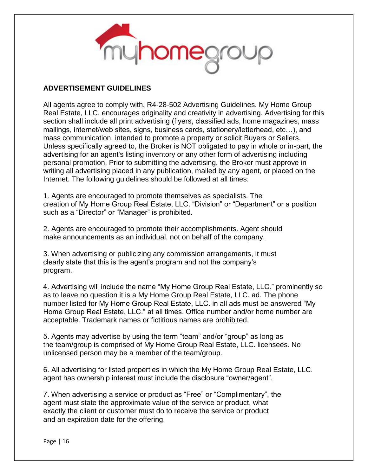

#### **ADVERTISEMENT GUIDELINES**

All agents agree to comply with, R4-28-502 Advertising Guidelines. My Home Group Real Estate, LLC. encourages originality and creativity in advertising. Advertising for this section shall include all print advertising (flyers, classified ads, home magazines, mass mailings, internet/web sites, signs, business cards, stationery/letterhead, etc…), and mass communication, intended to promote a property or solicit Buyers or Sellers. Unless specifically agreed to, the Broker is NOT obligated to pay in whole or in-part, the advertising for an agent's listing inventory or any other form of advertising including personal promotion. Prior to submitting the advertising, the Broker must approve in writing all advertising placed in any publication, mailed by any agent, or placed on the Internet. The following guidelines should be followed at all times:

1. Agents are encouraged to promote themselves as specialists. The creation of My Home Group Real Estate, LLC. "Division" or "Department" or a position such as a "Director" or "Manager" is prohibited.

2. Agents are encouraged to promote their accomplishments. Agent should make announcements as an individual, not on behalf of the company.

3. When advertising or publicizing any commission arrangements, it must clearly state that this is the agent's program and not the company's program.

4. Advertising will include the name "My Home Group Real Estate, LLC." prominently so as to leave no question it is a My Home Group Real Estate, LLC. ad. The phone number listed for My Home Group Real Estate, LLC. in all ads must be answered "My Home Group Real Estate, LLC." at all times. Office number and/or home number are acceptable. Trademark names or fictitious names are prohibited.

5. Agents may advertise by using the term "team" and/or "group" as long as the team/group is comprised of My Home Group Real Estate, LLC. licensees. No unlicensed person may be a member of the team/group.

6. All advertising for listed properties in which the My Home Group Real Estate, LLC. agent has ownership interest must include the disclosure "owner/agent".

7. When advertising a service or product as "Free" or "Complimentary", the agent must state the approximate value of the service or product, what exactly the client or customer must do to receive the service or product and an expiration date for the offering.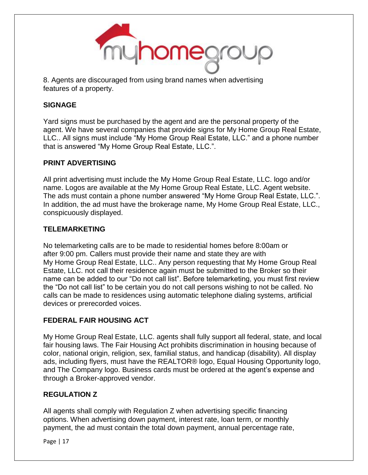

8. Agents are discouraged from using brand names when advertising features of a property.

#### **SIGNAGE**

Yard signs must be purchased by the agent and are the personal property of the agent. We have several companies that provide signs for My Home Group Real Estate, LLC.. All signs must include "My Home Group Real Estate, LLC." and a phone number that is answered "My Home Group Real Estate, LLC.".

#### **PRINT ADVERTISING**

All print advertising must include the My Home Group Real Estate, LLC. logo and/or name. Logos are available at the My Home Group Real Estate, LLC. Agent website. The ads must contain a phone number answered "My Home Group Real Estate, LLC.". In addition, the ad must have the brokerage name, My Home Group Real Estate, LLC., conspicuously displayed.

#### **TELEMARKETING**

No telemarketing calls are to be made to residential homes before 8:00am or after 9:00 pm. Callers must provide their name and state they are with My Home Group Real Estate, LLC.. Any person requesting that My Home Group Real Estate, LLC. not call their residence again must be submitted to the Broker so their name can be added to our "Do not call list". Before telemarketing, you must first review the "Do not call list" to be certain you do not call persons wishing to not be called. No calls can be made to residences using automatic telephone dialing systems, artificial devices or prerecorded voices.

#### **FEDERAL FAIR HOUSING ACT**

My Home Group Real Estate, LLC. agents shall fully support all federal, state, and local fair housing laws. The Fair Housing Act prohibits discrimination in housing because of color, national origin, religion, sex, familial status, and handicap (disability). All display ads, including flyers, must have the REALTOR® logo, Equal Housing Opportunity logo, and The Company logo. Business cards must be ordered at the agent's expense and through a Broker-approved vendor.

#### **REGULATION Z**

All agents shall comply with Regulation Z when advertising specific financing options. When advertising down payment, interest rate, loan term, or monthly payment, the ad must contain the total down payment, annual percentage rate,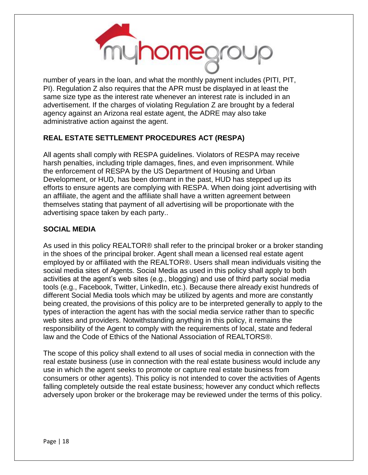

number of years in the loan, and what the monthly payment includes (PITI, PIT, PI). Regulation Z also requires that the APR must be displayed in at least the same size type as the interest rate whenever an interest rate is included in an advertisement. If the charges of violating Regulation Z are brought by a federal agency against an Arizona real estate agent, the ADRE may also take administrative action against the agent.

#### **REAL ESTATE SETTLEMENT PROCEDURES ACT (RESPA)**

All agents shall comply with RESPA guidelines. Violators of RESPA may receive harsh penalties, including triple damages, fines, and even imprisonment. While the enforcement of RESPA by the US Department of Housing and Urban Development, or HUD, has been dormant in the past, HUD has stepped up its efforts to ensure agents are complying with RESPA. When doing joint advertising with an affiliate, the agent and the affiliate shall have a written agreement between themselves stating that payment of all advertising will be proportionate with the advertising space taken by each party..

#### **SOCIAL MEDIA**

As used in this policy REALTOR® shall refer to the principal broker or a broker standing in the shoes of the principal broker. Agent shall mean a licensed real estate agent employed by or affiliated with the REALTOR®. Users shall mean individuals visiting the social media sites of Agents. Social Media as used in this policy shall apply to both activities at the agent's web sites (e.g., blogging) and use of third party social media tools (e.g., Facebook, Twitter, LinkedIn, etc.). Because there already exist hundreds of different Social Media tools which may be utilized by agents and more are constantly being created, the provisions of this policy are to be interpreted generally to apply to the types of interaction the agent has with the social media service rather than to specific web sites and providers. Notwithstanding anything in this policy, it remains the responsibility of the Agent to comply with the requirements of local, state and federal law and the Code of Ethics of the National Association of REALTORS®.

The scope of this policy shall extend to all uses of social media in connection with the real estate business (use in connection with the real estate business would include any use in which the agent seeks to promote or capture real estate business from consumers or other agents). This policy is not intended to cover the activities of Agents falling completely outside the real estate business; however any conduct which reflects adversely upon broker or the brokerage may be reviewed under the terms of this policy.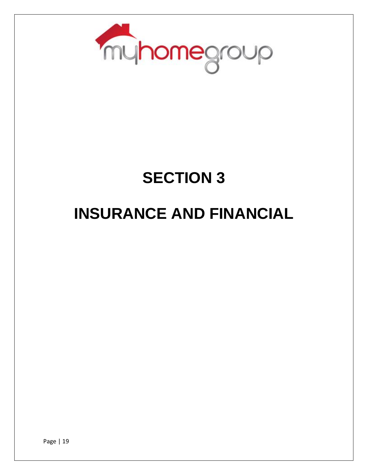

### **SECTION 3**

### **INSURANCE AND FINANCIAL**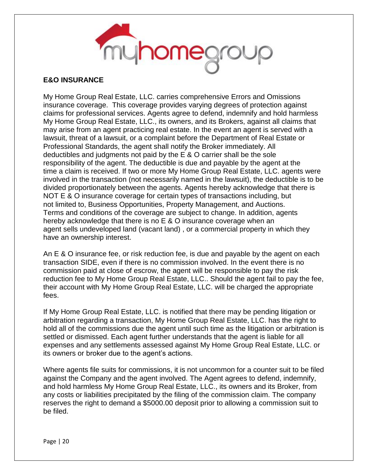

#### **E&O INSURANCE**

My Home Group Real Estate, LLC. carries comprehensive Errors and Omissions insurance coverage. This coverage provides varying degrees of protection against claims for professional services. Agents agree to defend, indemnify and hold harmless My Home Group Real Estate, LLC., its owners, and its Brokers, against all claims that may arise from an agent practicing real estate. In the event an agent is served with a lawsuit, threat of a lawsuit, or a complaint before the Department of Real Estate or Professional Standards, the agent shall notify the Broker immediately. All deductibles and judgments not paid by the E & O carrier shall be the sole responsibility of the agent. The deductible is due and payable by the agent at the time a claim is received. If two or more My Home Group Real Estate, LLC. agents were involved in the transaction (not necessarily named in the lawsuit), the deductible is to be divided proportionately between the agents. Agents hereby acknowledge that there is NOT E & O insurance coverage for certain types of transactions including, but not limited to, Business Opportunities, Property Management, and Auctions. Terms and conditions of the coverage are subject to change. In addition, agents hereby acknowledge that there is no E & O insurance coverage when an agent sells undeveloped land (vacant land) , or a commercial property in which they have an ownership interest.

An E & O insurance fee, or risk reduction fee, is due and payable by the agent on each transaction SIDE, even if there is no commission involved. In the event there is no commission paid at close of escrow, the agent will be responsible to pay the risk reduction fee to My Home Group Real Estate, LLC.. Should the agent fail to pay the fee, their account with My Home Group Real Estate, LLC. will be charged the appropriate fees.

If My Home Group Real Estate, LLC. is notified that there may be pending litigation or arbitration regarding a transaction, My Home Group Real Estate, LLC. has the right to hold all of the commissions due the agent until such time as the litigation or arbitration is settled or dismissed. Each agent further understands that the agent is liable for all expenses and any settlements assessed against My Home Group Real Estate, LLC. or its owners or broker due to the agent's actions.

Where agents file suits for commissions, it is not uncommon for a counter suit to be filed against the Company and the agent involved. The Agent agrees to defend, indemnify, and hold harmless My Home Group Real Estate, LLC., its owners and its Broker, from any costs or liabilities precipitated by the filing of the commission claim. The company reserves the right to demand a \$5000.00 deposit prior to allowing a commission suit to be filed.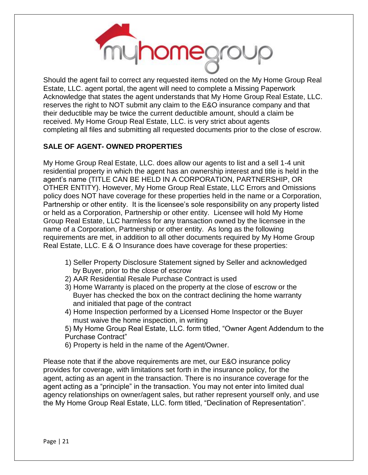

Should the agent fail to correct any requested items noted on the My Home Group Real Estate, LLC. agent portal, the agent will need to complete a Missing Paperwork Acknowledge that states the agent understands that My Home Group Real Estate, LLC. reserves the right to NOT submit any claim to the E&O insurance company and that their deductible may be twice the current deductible amount, should a claim be received. My Home Group Real Estate, LLC. is very strict about agents completing all files and submitting all requested documents prior to the close of escrow.

#### **SALE OF AGENT- OWNED PROPERTIES**

My Home Group Real Estate, LLC. does allow our agents to list and a sell 1-4 unit residential property in which the agent has an ownership interest and title is held in the agent's name (TITLE CAN BE HELD IN A CORPORATION, PARTNERSHIP, OR OTHER ENTITY). However, My Home Group Real Estate, LLC Errors and Omissions policy does NOT have coverage for these properties held in the name or a Corporation, Partnership or other entity. It is the licensee's sole responsibility on any property listed or held as a Corporation, Partnership or other entity. Licensee will hold My Home Group Real Estate, LLC harmless for any transaction owned by the licensee in the name of a Corporation, Partnership or other entity. As long as the following requirements are met, in addition to all other documents required by My Home Group Real Estate, LLC. E & O Insurance does have coverage for these properties:

- 1) Seller Property Disclosure Statement signed by Seller and acknowledged by Buyer, prior to the close of escrow
- 2) AAR Residential Resale Purchase Contract is used
- 3) Home Warranty is placed on the property at the close of escrow or the Buyer has checked the box on the contract declining the home warranty and initialed that page of the contract
- 4) Home Inspection performed by a Licensed Home Inspector or the Buyer must waive the home inspection, in writing
- 5) My Home Group Real Estate, LLC. form titled, "Owner Agent Addendum to the Purchase Contract"
- 6) Property is held in the name of the Agent/Owner.

Please note that if the above requirements are met, our E&O insurance policy provides for coverage, with limitations set forth in the insurance policy, for the agent, acting as an agent in the transaction. There is no insurance coverage for the agent acting as a "principle" in the transaction. You may not enter into limited dual agency relationships on owner/agent sales, but rather represent yourself only, and use the My Home Group Real Estate, LLC. form titled, "Declination of Representation".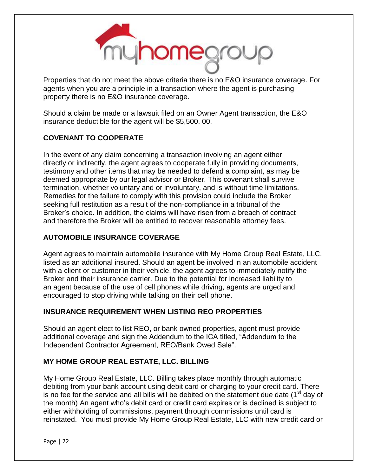

Properties that do not meet the above criteria there is no E&O insurance coverage. For agents when you are a principle in a transaction where the agent is purchasing property there is no E&O insurance coverage.

Should a claim be made or a lawsuit filed on an Owner Agent transaction, the E&O insurance deductible for the agent will be \$5,500. 00.

#### **COVENANT TO COOPERATE**

In the event of any claim concerning a transaction involving an agent either directly or indirectly, the agent agrees to cooperate fully in providing documents, testimony and other items that may be needed to defend a complaint, as may be deemed appropriate by our legal advisor or Broker. This covenant shall survive termination, whether voluntary and or involuntary, and is without time limitations. Remedies for the failure to comply with this provision could include the Broker seeking full restitution as a result of the non-compliance in a tribunal of the Broker's choice. In addition, the claims will have risen from a breach of contract and therefore the Broker will be entitled to recover reasonable attorney fees.

#### **AUTOMOBILE INSURANCE COVERAGE**

Agent agrees to maintain automobile insurance with My Home Group Real Estate, LLC. listed as an additional insured. Should an agent be involved in an automobile accident with a client or customer in their vehicle, the agent agrees to immediately notify the Broker and their insurance carrier. Due to the potential for increased liability to an agent because of the use of cell phones while driving, agents are urged and encouraged to stop driving while talking on their cell phone.

#### **INSURANCE REQUIREMENT WHEN LISTING REO PROPERTIES**

Should an agent elect to list REO, or bank owned properties, agent must provide additional coverage and sign the Addendum to the ICA titled, "Addendum to the Independent Contractor Agreement, REO/Bank Owed Sale".

#### **MY HOME GROUP REAL ESTATE, LLC. BILLING**

My Home Group Real Estate, LLC. Billing takes place monthly through automatic debiting from your bank account using debit card or charging to your credit card. There is no fee for the service and all bills will be debited on the statement due date  $(1<sup>st</sup>$  day of the month) An agent who's debit card or credit card expires or is declined is subject to either withholding of commissions, payment through commissions until card is reinstated. You must provide My Home Group Real Estate, LLC with new credit card or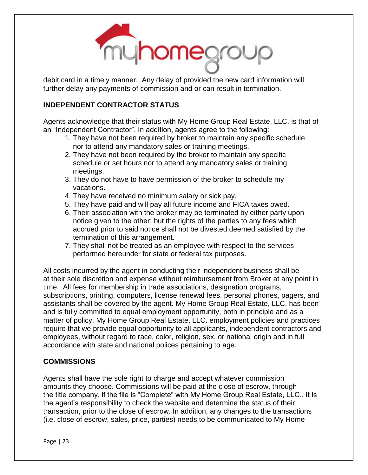

debit card in a timely manner. Any delay of provided the new card information will further delay any payments of commission and or can result in termination.

#### **INDEPENDENT CONTRACTOR STATUS**

Agents acknowledge that their status with My Home Group Real Estate, LLC. is that of an "Independent Contractor". In addition, agents agree to the following:

- 1. They have not been required by broker to maintain any specific schedule nor to attend any mandatory sales or training meetings.
- 2. They have not been required by the broker to maintain any specific schedule or set hours nor to attend any mandatory sales or training meetings.
- 3. They do not have to have permission of the broker to schedule my vacations.
- 4. They have received no minimum salary or sick pay.
- 5. They have paid and will pay all future income and FICA taxes owed.
- 6. Their association with the broker may be terminated by either party upon notice given to the other; but the rights of the parties to any fees which accrued prior to said notice shall not be divested deemed satisfied by the termination of this arrangement.
- 7. They shall not be treated as an employee with respect to the services performed hereunder for state or federal tax purposes.

All costs incurred by the agent in conducting their independent business shall be at their sole discretion and expense without reimbursement from Broker at any point in time. All fees for membership in trade associations, designation programs, subscriptions, printing, computers, license renewal fees, personal phones, pagers, and assistants shall be covered by the agent. My Home Group Real Estate, LLC. has been and is fully committed to equal employment opportunity, both in principle and as a matter of policy. My Home Group Real Estate, LLC. employment policies and practices require that we provide equal opportunity to all applicants, independent contractors and employees, without regard to race, color, religion, sex, or national origin and in full accordance with state and national polices pertaining to age.

#### **COMMISSIONS**

Agents shall have the sole right to charge and accept whatever commission amounts they choose. Commissions will be paid at the close of escrow, through the title company, if the file is "Complete" with My Home Group Real Estate, LLC.. It is the agent's responsibility to check the website and determine the status of their transaction, prior to the close of escrow. In addition, any changes to the transactions (i.e. close of escrow, sales, price, parties) needs to be communicated to My Home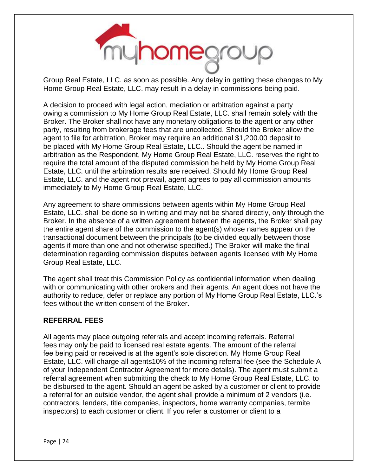

Group Real Estate, LLC. as soon as possible. Any delay in getting these changes to My Home Group Real Estate, LLC. may result in a delay in commissions being paid.

A decision to proceed with legal action, mediation or arbitration against a party owing a commission to My Home Group Real Estate, LLC. shall remain solely with the Broker. The Broker shall not have any monetary obligations to the agent or any other party, resulting from brokerage fees that are uncollected. Should the Broker allow the agent to file for arbitration, Broker may require an additional \$1,200.00 deposit to be placed with My Home Group Real Estate, LLC.. Should the agent be named in arbitration as the Respondent, My Home Group Real Estate, LLC. reserves the right to require the total amount of the disputed commission be held by My Home Group Real Estate, LLC. until the arbitration results are received. Should My Home Group Real Estate, LLC. and the agent not prevail, agent agrees to pay all commission amounts immediately to My Home Group Real Estate, LLC.

Any agreement to share ommissions between agents within My Home Group Real Estate, LLC. shall be done so in writing and may not be shared directly, only through the Broker. In the absence of a written agreement between the agents, the Broker shall pay the entire agent share of the commission to the agent(s) whose names appear on the transactional document between the principals (to be divided equally between those agents if more than one and not otherwise specified.) The Broker will make the final determination regarding commission disputes between agents licensed with My Home Group Real Estate, LLC.

The agent shall treat this Commission Policy as confidential information when dealing with or communicating with other brokers and their agents. An agent does not have the authority to reduce, defer or replace any portion of My Home Group Real Estate, LLC.'s fees without the written consent of the Broker.

#### **REFERRAL FEES**

All agents may place outgoing referrals and accept incoming referrals. Referral fees may only be paid to licensed real estate agents. The amount of the referral fee being paid or received is at the agent's sole discretion. My Home Group Real Estate, LLC. will charge all agents10% of the incoming referral fee (see the Schedule A of your Independent Contractor Agreement for more details). The agent must submit a referral agreement when submitting the check to My Home Group Real Estate, LLC. to be disbursed to the agent. Should an agent be asked by a customer or client to provide a referral for an outside vendor, the agent shall provide a minimum of 2 vendors (i.e. contractors, lenders, title companies, inspectors, home warranty companies, termite inspectors) to each customer or client. If you refer a customer or client to a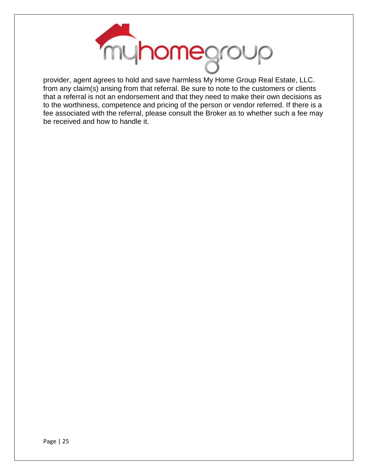

provider, agent agrees to hold and save harmless My Home Group Real Estate, LLC. from any claim(s) arising from that referral. Be sure to note to the customers or clients that a referral is not an endorsement and that they need to make their own decisions as to the worthiness, competence and pricing of the person or vendor referred. If there is a fee associated with the referral, please consult the Broker as to whether such a fee may be received and how to handle it.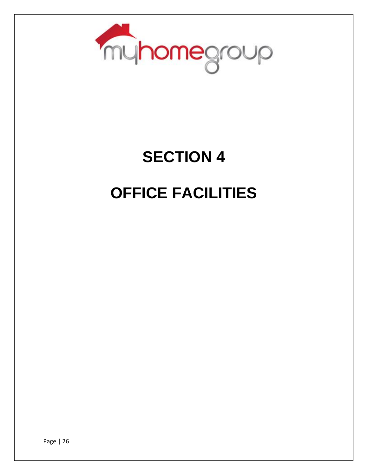

# **SECTION 4**

### **OFFICE FACILITIES**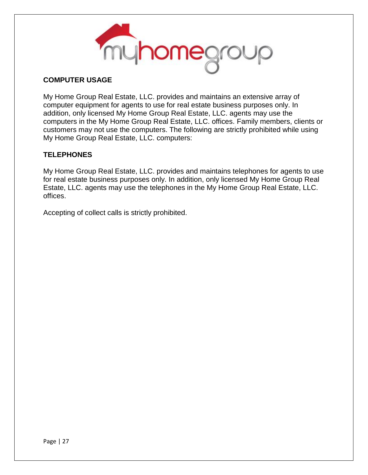

#### **COMPUTER USAGE**

My Home Group Real Estate, LLC. provides and maintains an extensive array of computer equipment for agents to use for real estate business purposes only. In addition, only licensed My Home Group Real Estate, LLC. agents may use the computers in the My Home Group Real Estate, LLC. offices. Family members, clients or customers may not use the computers. The following are strictly prohibited while using My Home Group Real Estate, LLC. computers:

#### **TELEPHONES**

My Home Group Real Estate, LLC. provides and maintains telephones for agents to use for real estate business purposes only. In addition, only licensed My Home Group Real Estate, LLC. agents may use the telephones in the My Home Group Real Estate, LLC. offices.

Accepting of collect calls is strictly prohibited.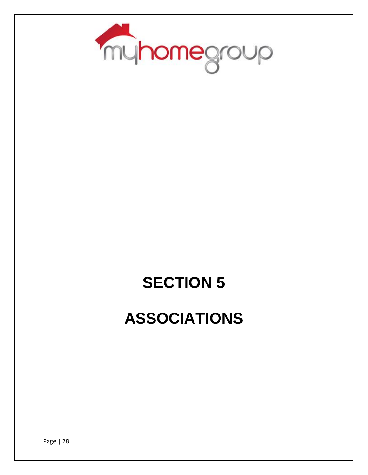

# **SECTION 5 ASSOCIATIONS**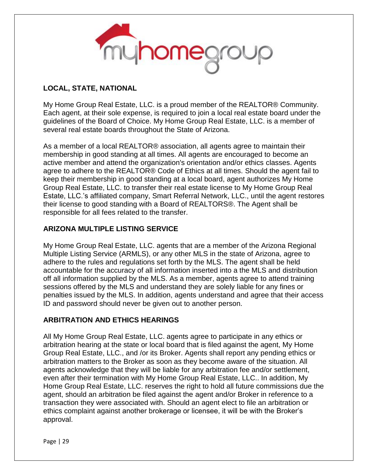

#### **LOCAL, STATE, NATIONAL**

My Home Group Real Estate, LLC. is a proud member of the REALTOR® Community. Each agent, at their sole expense, is required to join a local real estate board under the guidelines of the Board of Choice. My Home Group Real Estate, LLC. is a member of several real estate boards throughout the State of Arizona.

As a member of a local REALTOR® association, all agents agree to maintain their membership in good standing at all times. All agents are encouraged to become an active member and attend the organization's orientation and/or ethics classes. Agents agree to adhere to the REALTOR® Code of Ethics at all times. Should the agent fail to keep their membership in good standing at a local board, agent authorizes My Home Group Real Estate, LLC. to transfer their real estate license to My Home Group Real Estate, LLC.'s affiliated company, Smart Referral Network, LLC., until the agent restores their license to good standing with a Board of REALTORS®. The Agent shall be responsible for all fees related to the transfer.

#### **ARIZONA MULTIPLE LISTING SERVICE**

My Home Group Real Estate, LLC. agents that are a member of the Arizona Regional Multiple Listing Service (ARMLS), or any other MLS in the state of Arizona, agree to adhere to the rules and regulations set forth by the MLS. The agent shall be held accountable for the accuracy of all information inserted into a the MLS and distribution off all information supplied by the MLS. As a member, agents agree to attend training sessions offered by the MLS and understand they are solely liable for any fines or penalties issued by the MLS. In addition, agents understand and agree that their access ID and password should never be given out to another person.

#### **ARBITRATION AND ETHICS HEARINGS**

All My Home Group Real Estate, LLC. agents agree to participate in any ethics or arbitration hearing at the state or local board that is filed against the agent, My Home Group Real Estate, LLC., and /or its Broker. Agents shall report any pending ethics or arbitration matters to the Broker as soon as they become aware of the situation. All agents acknowledge that they will be liable for any arbitration fee and/or settlement, even after their termination with My Home Group Real Estate, LLC.. In addition, My Home Group Real Estate, LLC. reserves the right to hold all future commissions due the agent, should an arbitration be filed against the agent and/or Broker in reference to a transaction they were associated with. Should an agent elect to file an arbitration or ethics complaint against another brokerage or licensee, it will be with the Broker's approval.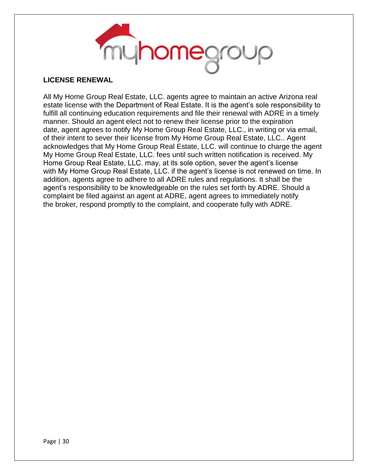

#### **LICENSE RENEWAL**

All My Home Group Real Estate, LLC. agents agree to maintain an active Arizona real estate license with the Department of Real Estate. It is the agent's sole responsibility to fulfill all continuing education requirements and file their renewal with ADRE in a timely manner. Should an agent elect not to renew their license prior to the expiration date, agent agrees to notify My Home Group Real Estate, LLC., in writing or via email, of their intent to sever their license from My Home Group Real Estate, LLC.. Agent acknowledges that My Home Group Real Estate, LLC. will continue to charge the agent My Home Group Real Estate, LLC. fees until such written notification is received. My Home Group Real Estate, LLC. may, at its sole option, sever the agent's license with My Home Group Real Estate, LLC. if the agent's license is not renewed on time. In addition, agents agree to adhere to all ADRE rules and regulations. It shall be the agent's responsibility to be knowledgeable on the rules set forth by ADRE. Should a complaint be filed against an agent at ADRE, agent agrees to immediately notify the broker, respond promptly to the complaint, and cooperate fully with ADRE.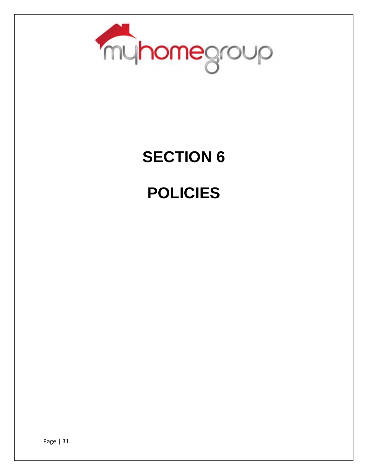

# **SECTION 6**

### **POLICIES**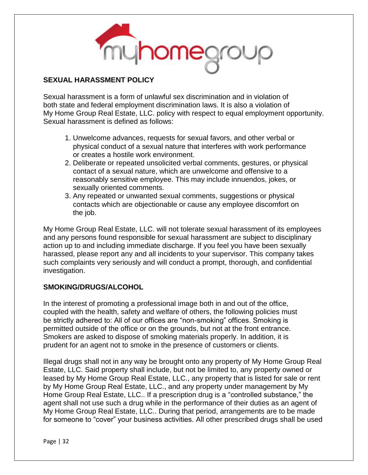

#### **SEXUAL HARASSMENT POLICY**

Sexual harassment is a form of unlawful sex discrimination and in violation of both state and federal employment discrimination laws. It is also a violation of My Home Group Real Estate, LLC. policy with respect to equal employment opportunity. Sexual harassment is defined as follows:

- 1. Unwelcome advances, requests for sexual favors, and other verbal or physical conduct of a sexual nature that interferes with work performance or creates a hostile work environment.
- 2. Deliberate or repeated unsolicited verbal comments, gestures, or physical contact of a sexual nature, which are unwelcome and offensive to a reasonably sensitive employee. This may include innuendos, jokes, or sexually oriented comments.
- 3. Any repeated or unwanted sexual comments, suggestions or physical contacts which are objectionable or cause any employee discomfort on the job.

My Home Group Real Estate, LLC. will not tolerate sexual harassment of its employees and any persons found responsible for sexual harassment are subject to disciplinary action up to and including immediate discharge. If you feel you have been sexually harassed, please report any and all incidents to your supervisor. This company takes such complaints very seriously and will conduct a prompt, thorough, and confidential investigation.

#### **SMOKING/DRUGS/ALCOHOL**

In the interest of promoting a professional image both in and out of the office, coupled with the health, safety and welfare of others, the following policies must be strictly adhered to: All of our offices are "non-smoking" offices. Smoking is permitted outside of the office or on the grounds, but not at the front entrance. Smokers are asked to dispose of smoking materials properly. In addition, it is prudent for an agent not to smoke in the presence of customers or clients.

Illegal drugs shall not in any way be brought onto any property of My Home Group Real Estate, LLC. Said property shall include, but not be limited to, any property owned or leased by My Home Group Real Estate, LLC., any property that is listed for sale or rent by My Home Group Real Estate, LLC., and any property under management by My Home Group Real Estate, LLC.. If a prescription drug is a "controlled substance," the agent shall not use such a drug while in the performance of their duties as an agent of My Home Group Real Estate, LLC.. During that period, arrangements are to be made for someone to "cover" your business activities. All other prescribed drugs shall be used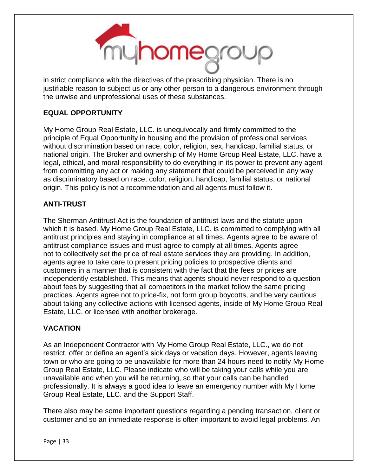

in strict compliance with the directives of the prescribing physician. There is no justifiable reason to subject us or any other person to a dangerous environment through the unwise and unprofessional uses of these substances.

#### **EQUAL OPPORTUNITY**

My Home Group Real Estate, LLC. is unequivocally and firmly committed to the principle of Equal Opportunity in housing and the provision of professional services without discrimination based on race, color, religion, sex, handicap, familial status, or national origin. The Broker and ownership of My Home Group Real Estate, LLC. have a legal, ethical, and moral responsibility to do everything in its power to prevent any agent from committing any act or making any statement that could be perceived in any way as discriminatory based on race, color, religion, handicap, familial status, or national origin. This policy is not a recommendation and all agents must follow it.

#### **ANTI-TRUST**

The Sherman Antitrust Act is the foundation of antitrust laws and the statute upon which it is based. My Home Group Real Estate, LLC. is committed to complying with all antitrust principles and staying in compliance at all times. Agents agree to be aware of antitrust compliance issues and must agree to comply at all times. Agents agree not to collectively set the price of real estate services they are providing. In addition, agents agree to take care to present pricing policies to prospective clients and customers in a manner that is consistent with the fact that the fees or prices are independently established. This means that agents should never respond to a question about fees by suggesting that all competitors in the market follow the same pricing practices. Agents agree not to price-fix, not form group boycotts, and be very cautious about taking any collective actions with licensed agents, inside of My Home Group Real Estate, LLC. or licensed with another brokerage.

#### **VACATION**

As an Independent Contractor with My Home Group Real Estate, LLC., we do not restrict, offer or define an agent's sick days or vacation days. However, agents leaving town or who are going to be unavailable for more than 24 hours need to notify My Home Group Real Estate, LLC. Please indicate who will be taking your calls while you are unavailable and when you will be returning, so that your calls can be handled professionally. It is always a good idea to leave an emergency number with My Home Group Real Estate, LLC. and the Support Staff.

There also may be some important questions regarding a pending transaction, client or customer and so an immediate response is often important to avoid legal problems. An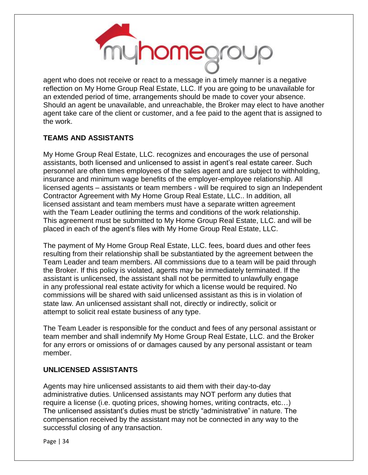

agent who does not receive or react to a message in a timely manner is a negative reflection on My Home Group Real Estate, LLC. If you are going to be unavailable for an extended period of time, arrangements should be made to cover your absence. Should an agent be unavailable, and unreachable, the Broker may elect to have another agent take care of the client or customer, and a fee paid to the agent that is assigned to the work.

#### **TEAMS AND ASSISTANTS**

My Home Group Real Estate, LLC. recognizes and encourages the use of personal assistants, both licensed and unlicensed to assist in agent's real estate career. Such personnel are often times employees of the sales agent and are subject to withholding, insurance and minimum wage benefits of the employer-employee relationship. All licensed agents – assistants or team members - will be required to sign an Independent Contractor Agreement with My Home Group Real Estate, LLC.. In addition, all licensed assistant and team members must have a separate written agreement with the Team Leader outlining the terms and conditions of the work relationship. This agreement must be submitted to My Home Group Real Estate, LLC. and will be placed in each of the agent's files with My Home Group Real Estate, LLC.

The payment of My Home Group Real Estate, LLC. fees, board dues and other fees resulting from their relationship shall be substantiated by the agreement between the Team Leader and team members. All commissions due to a team will be paid through the Broker. If this policy is violated, agents may be immediately terminated. If the assistant is unlicensed, the assistant shall not be permitted to unlawfully engage in any professional real estate activity for which a license would be required. No commissions will be shared with said unlicensed assistant as this is in violation of state law. An unlicensed assistant shall not, directly or indirectly, solicit or attempt to solicit real estate business of any type.

The Team Leader is responsible for the conduct and fees of any personal assistant or team member and shall indemnify My Home Group Real Estate, LLC. and the Broker for any errors or omissions of or damages caused by any personal assistant or team member.

#### **UNLICENSED ASSISTANTS**

Agents may hire unlicensed assistants to aid them with their day-to-day administrative duties. Unlicensed assistants may NOT perform any duties that require a license (i.e. quoting prices, showing homes, writing contracts, etc…) The unlicensed assistant's duties must be strictly "administrative" in nature. The compensation received by the assistant may not be connected in any way to the successful closing of any transaction.